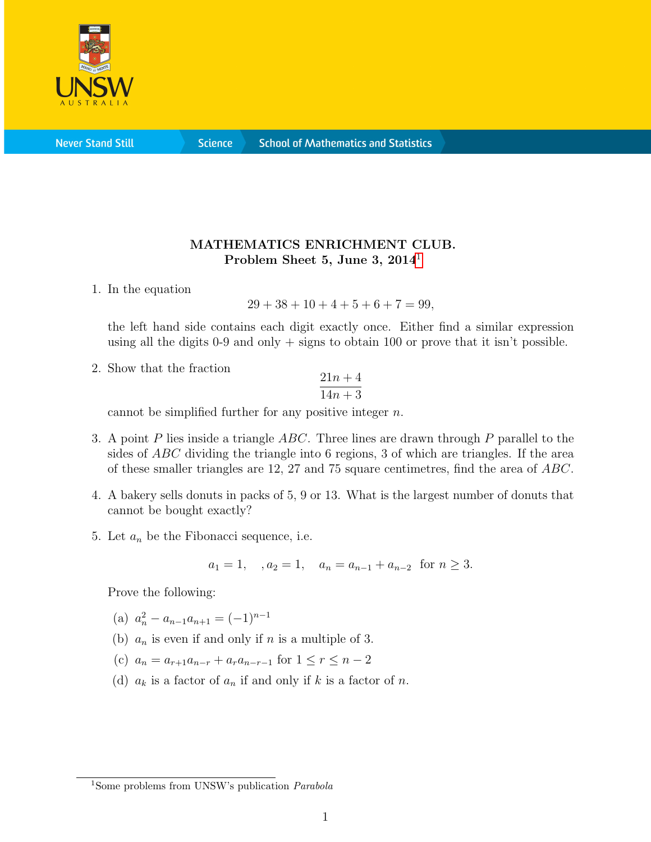

**Never Stand Still** 

**Science** 

## MATHEMATICS ENRICHMENT CLUB. Problem Sheet 5, June 3, 20[1](#page-0-0)4<sup>1</sup>

1. In the equation

$$
29 + 38 + 10 + 4 + 5 + 6 + 7 = 99,
$$

the left hand side contains each digit exactly once. Either find a similar expression using all the digits 0-9 and only  $+$  signs to obtain 100 or prove that it isn't possible.

2. Show that the fraction

$$
\frac{21n+4}{14n+3}
$$

cannot be simplified further for any positive integer  $n$ .

- 3. A point P lies inside a triangle  $ABC$ . Three lines are drawn through P parallel to the sides of ABC dividing the triangle into 6 regions, 3 of which are triangles. If the area of these smaller triangles are 12, 27 and 75 square centimetres, find the area of ABC.
- 4. A bakery sells donuts in packs of 5, 9 or 13. What is the largest number of donuts that cannot be bought exactly?
- 5. Let  $a_n$  be the Fibonacci sequence, i.e.

$$
a_1 = 1
$$
,  $a_2 = 1$ ,  $a_n = a_{n-1} + a_{n-2}$  for  $n \ge 3$ .

Prove the following:

- (a)  $a_n^2 a_{n-1}a_{n+1} = (-1)^{n-1}$
- (b)  $a_n$  is even if and only if n is a multiple of 3.
- (c)  $a_n = a_{r+1}a_{n-r} + a_ra_{n-r-1}$  for  $1 \leq r \leq n-2$
- (d)  $a_k$  is a factor of  $a_n$  if and only if k is a factor of n.

<span id="page-0-0"></span><sup>&</sup>lt;sup>1</sup>Some problems from UNSW's publication *Parabola*